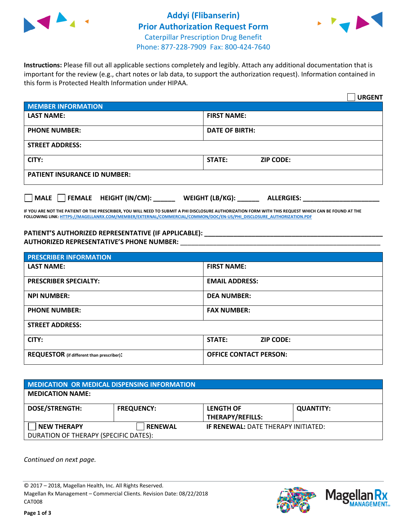

## **Addyi (Flibanserin) Prior Authorization Request Form** Caterpillar Prescription Drug Benefit



Phone: 877-228-7909 Fax: 800-424-7640

**Instructions:** Please fill out all applicable sections completely and legibly. Attach any additional documentation that is important for the review (e.g., chart notes or lab data, to support the authorization request). Information contained in this form is Protected Health Information under HIPAA.

|                                       | <b>URGENT</b>                        |  |  |  |
|---------------------------------------|--------------------------------------|--|--|--|
| <b>MEMBER INFORMATION</b>             |                                      |  |  |  |
| <b>LAST NAME:</b>                     | <b>FIRST NAME:</b>                   |  |  |  |
| <b>PHONE NUMBER:</b>                  | <b>DATE OF BIRTH:</b>                |  |  |  |
| <b>STREET ADDRESS:</b>                |                                      |  |  |  |
| CITY:                                 | STATE:<br><b>ZIP CODE:</b>           |  |  |  |
| <b>PATIENT INSURANCE ID NUMBER:</b>   |                                      |  |  |  |
| FEMALE HEIGHT (IN/CM):<br><b>MALE</b> | WEIGHT (LB/KG):<br><b>ALLERGIES:</b> |  |  |  |

**IF YOU ARE NOT THE PATIENT OR THE PRESCRIBER, YOU WILL NEED TO SUBMIT A PHI DISCLOSURE AUTHORIZATION FORM WITH THIS REQUEST WHICH CAN BE FOUND AT THE FOLLOWING LINK[: HTTPS://MAGELLANRX.COM/MEMBER/EXTERNAL/COMMERCIAL/COMMON/DOC/EN-US/PHI\\_DISCLOSURE\\_AUTHORIZATION.PDF](https://magellanrx.com/member/external/commercial/common/doc/en-us/PHI_Disclosure_Authorization.pdf)**

**PATIENT'S AUTHORIZED REPRESENTATIVE (IF APPLICABLE): \_\_\_\_\_\_\_\_\_\_\_\_\_\_\_\_\_\_\_\_\_\_\_\_\_\_\_\_\_\_\_\_\_\_\_\_\_\_\_\_\_\_\_\_\_\_\_\_\_ AUTHORIZED REPRESENTATIVE'S PHONE NUMBER:** \_\_\_\_\_\_\_\_\_\_\_\_\_\_\_\_\_\_\_\_\_\_\_\_\_\_\_\_\_\_\_\_\_\_\_\_\_\_\_\_\_\_\_\_\_\_\_\_\_\_\_\_\_\_\_

| <b>PRESCRIBER INFORMATION</b>             |                               |  |
|-------------------------------------------|-------------------------------|--|
| <b>LAST NAME:</b>                         | <b>FIRST NAME:</b>            |  |
| <b>PRESCRIBER SPECIALTY:</b>              | <b>EMAIL ADDRESS:</b>         |  |
| <b>NPI NUMBER:</b>                        | <b>DEA NUMBER:</b>            |  |
| <b>PHONE NUMBER:</b>                      | <b>FAX NUMBER:</b>            |  |
| <b>STREET ADDRESS:</b>                    |                               |  |
| CITY:                                     | STATE:<br><b>ZIP CODE:</b>    |  |
| REQUESTOR (if different than prescriber): | <b>OFFICE CONTACT PERSON:</b> |  |

| <b>MEDICATION OR MEDICAL DISPENSING INFORMATION</b> |                   |                                            |                  |  |  |
|-----------------------------------------------------|-------------------|--------------------------------------------|------------------|--|--|
| <b>MEDICATION NAME:</b>                             |                   |                                            |                  |  |  |
| <b>DOSE/STRENGTH:</b>                               | <b>FREQUENCY:</b> | <b>LENGTH OF</b>                           | <b>QUANTITY:</b> |  |  |
|                                                     |                   | THERAPY/REFILLS:                           |                  |  |  |
| <b>NEW THERAPY</b>                                  | <b>RENEWAL</b>    | <b>IF RENEWAL: DATE THERAPY INITIATED:</b> |                  |  |  |
| DURATION OF THERAPY (SPECIFIC DATES):               |                   |                                            |                  |  |  |

*Continued on next page.*

© 2017 – 2018, Magellan Health, Inc. All Rights Reserved. Magellan Rx Management – Commercial Clients. Revision Date: 08/22/2018 CAT008



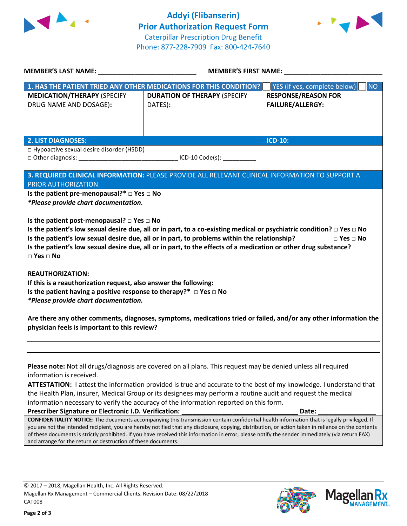



| MEMBER'S LAST NAME: NAME:                                                                                                                                                                                                                                                                                                                                                                                                                                                                                                      | <b>MEMBER'S FIRST NAME:</b>                                                                                                                                                                                                                                                                                                  |                                                       |  |  |
|--------------------------------------------------------------------------------------------------------------------------------------------------------------------------------------------------------------------------------------------------------------------------------------------------------------------------------------------------------------------------------------------------------------------------------------------------------------------------------------------------------------------------------|------------------------------------------------------------------------------------------------------------------------------------------------------------------------------------------------------------------------------------------------------------------------------------------------------------------------------|-------------------------------------------------------|--|--|
|                                                                                                                                                                                                                                                                                                                                                                                                                                                                                                                                | 1. HAS THE PATIENT TRIED ANY OTHER MEDICATIONS FOR THIS CONDITION?                                                                                                                                                                                                                                                           | YES (if yes, complete below)<br><b>NO</b>             |  |  |
| <b>MEDICATION/THERAPY (SPECIFY</b><br>DRUG NAME AND DOSAGE):                                                                                                                                                                                                                                                                                                                                                                                                                                                                   | <b>DURATION OF THERAPY (SPECIFY</b><br>DATES):                                                                                                                                                                                                                                                                               | <b>RESPONSE/REASON FOR</b><br><b>FAILURE/ALLERGY:</b> |  |  |
| <b>2. LIST DIAGNOSES:</b>                                                                                                                                                                                                                                                                                                                                                                                                                                                                                                      |                                                                                                                                                                                                                                                                                                                              | <b>ICD-10:</b>                                        |  |  |
| $\Box$ Hypoactive sexual desire disorder (HSDD)                                                                                                                                                                                                                                                                                                                                                                                                                                                                                |                                                                                                                                                                                                                                                                                                                              |                                                       |  |  |
| PRIOR AUTHORIZATION.                                                                                                                                                                                                                                                                                                                                                                                                                                                                                                           | 3. REQUIRED CLINICAL INFORMATION: PLEASE PROVIDE ALL RELEVANT CLINICAL INFORMATION TO SUPPORT A                                                                                                                                                                                                                              |                                                       |  |  |
| Is the patient pre-menopausal?* $\Box$ Yes $\Box$ No<br>*Please provide chart documentation.                                                                                                                                                                                                                                                                                                                                                                                                                                   |                                                                                                                                                                                                                                                                                                                              |                                                       |  |  |
| Is the patient post-menopausal? $\Box$ Yes $\Box$ No<br>Is the patient's low sexual desire due, all or in part, to a co-existing medical or psychiatric condition? $\Box$ Yes $\Box$ No<br>Is the patient's low sexual desire due, all or in part, to problems within the relationship?<br>$\Box$ Yes $\Box$ No<br>Is the patient's low sexual desire due, all or in part, to the effects of a medication or other drug substance?<br>$\square$ Yes $\square$ No                                                               |                                                                                                                                                                                                                                                                                                                              |                                                       |  |  |
| <b>REAUTHORIZATION:</b><br>If this is a reauthorization request, also answer the following:<br>Is the patient having a positive response to therapy?* $\Box$ Yes $\Box$ No<br><i>*Please provide chart documentation.</i>                                                                                                                                                                                                                                                                                                      |                                                                                                                                                                                                                                                                                                                              |                                                       |  |  |
| Are there any other comments, diagnoses, symptoms, medications tried or failed, and/or any other information the<br>physician feels is important to this review?                                                                                                                                                                                                                                                                                                                                                               |                                                                                                                                                                                                                                                                                                                              |                                                       |  |  |
|                                                                                                                                                                                                                                                                                                                                                                                                                                                                                                                                |                                                                                                                                                                                                                                                                                                                              |                                                       |  |  |
| information is received.                                                                                                                                                                                                                                                                                                                                                                                                                                                                                                       | Please note: Not all drugs/diagnosis are covered on all plans. This request may be denied unless all required                                                                                                                                                                                                                |                                                       |  |  |
|                                                                                                                                                                                                                                                                                                                                                                                                                                                                                                                                | ATTESTATION: I attest the information provided is true and accurate to the best of my knowledge. I understand that<br>the Health Plan, insurer, Medical Group or its designees may perform a routine audit and request the medical<br>information necessary to verify the accuracy of the information reported on this form. |                                                       |  |  |
| Prescriber Signature or Electronic I.D. Verification:                                                                                                                                                                                                                                                                                                                                                                                                                                                                          |                                                                                                                                                                                                                                                                                                                              | Date:                                                 |  |  |
| <b>CONFIDENTIALITY NOTICE:</b> The documents accompanying this transmission contain confidential health information that is legally privileged. If<br>you are not the intended recipient, you are hereby notified that any disclosure, copying, distribution, or action taken in reliance on the contents<br>of these documents is strictly prohibited. If you have received this information in error, please notify the sender immediately (via return FAX)<br>and arrange for the return or destruction of these documents. |                                                                                                                                                                                                                                                                                                                              |                                                       |  |  |
|                                                                                                                                                                                                                                                                                                                                                                                                                                                                                                                                |                                                                                                                                                                                                                                                                                                                              |                                                       |  |  |

© 2017 – 2018, Magellan Health, Inc. All Rights Reserved. Magellan Rx Management – Commercial Clients. Revision Date: 08/22/2018 CAT008



**Magella** 

**AANAGEMENT**<sub>SM</sub>